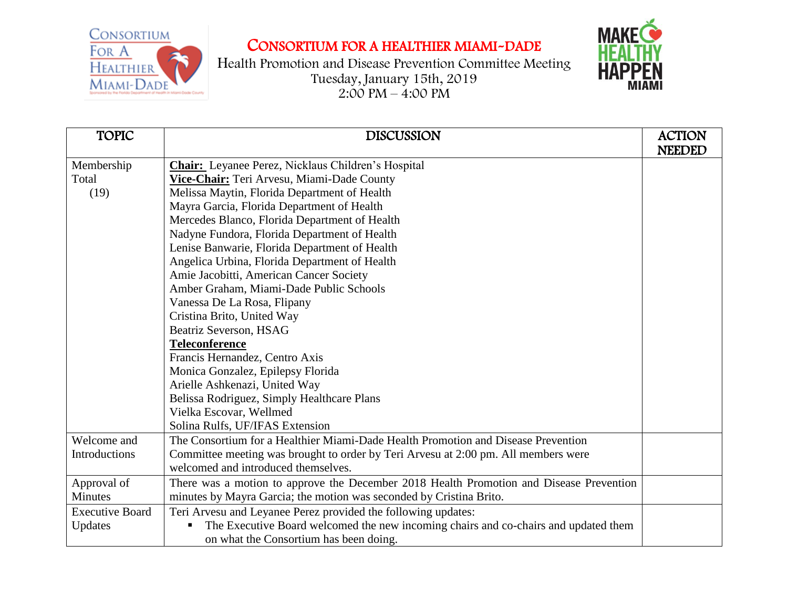

## CONSORTIUM FOR A HEALTHIER MIAMI-DADE

Health Promotion and Disease Prevention Committee Meeting Tuesday, January 15th, 2019  $2:00 \text{ PM} - 4:00 \text{ PM}$ 



| <b>TOPIC</b>           | <b>DISCUSSION</b>                                                                       | <b>ACTION</b> |
|------------------------|-----------------------------------------------------------------------------------------|---------------|
|                        |                                                                                         | <b>NEEDED</b> |
| Membership             | <b>Chair:</b> Leyanee Perez, Nicklaus Children's Hospital                               |               |
| Total                  | Vice-Chair: Teri Arvesu, Miami-Dade County                                              |               |
| (19)                   | Melissa Maytin, Florida Department of Health                                            |               |
|                        | Mayra Garcia, Florida Department of Health                                              |               |
|                        | Mercedes Blanco, Florida Department of Health                                           |               |
|                        | Nadyne Fundora, Florida Department of Health                                            |               |
|                        | Lenise Banwarie, Florida Department of Health                                           |               |
|                        | Angelica Urbina, Florida Department of Health                                           |               |
|                        | Amie Jacobitti, American Cancer Society                                                 |               |
|                        | Amber Graham, Miami-Dade Public Schools                                                 |               |
|                        | Vanessa De La Rosa, Flipany                                                             |               |
|                        | Cristina Brito, United Way                                                              |               |
|                        | <b>Beatriz Severson, HSAG</b>                                                           |               |
|                        | <b>Teleconference</b>                                                                   |               |
|                        | Francis Hernandez, Centro Axis                                                          |               |
|                        | Monica Gonzalez, Epilepsy Florida                                                       |               |
|                        | Arielle Ashkenazi, United Way                                                           |               |
|                        | Belissa Rodriguez, Simply Healthcare Plans                                              |               |
|                        | Vielka Escovar, Wellmed                                                                 |               |
|                        | Solina Rulfs, UF/IFAS Extension                                                         |               |
| Welcome and            | The Consortium for a Healthier Miami-Dade Health Promotion and Disease Prevention       |               |
| Introductions          | Committee meeting was brought to order by Teri Arvesu at 2:00 pm. All members were      |               |
|                        | welcomed and introduced themselves.                                                     |               |
| Approval of            | There was a motion to approve the December 2018 Health Promotion and Disease Prevention |               |
| <b>Minutes</b>         | minutes by Mayra Garcia; the motion was seconded by Cristina Brito.                     |               |
| <b>Executive Board</b> | Teri Arvesu and Leyanee Perez provided the following updates:                           |               |
| Updates                | The Executive Board welcomed the new incoming chairs and co-chairs and updated them     |               |
|                        | on what the Consortium has been doing.                                                  |               |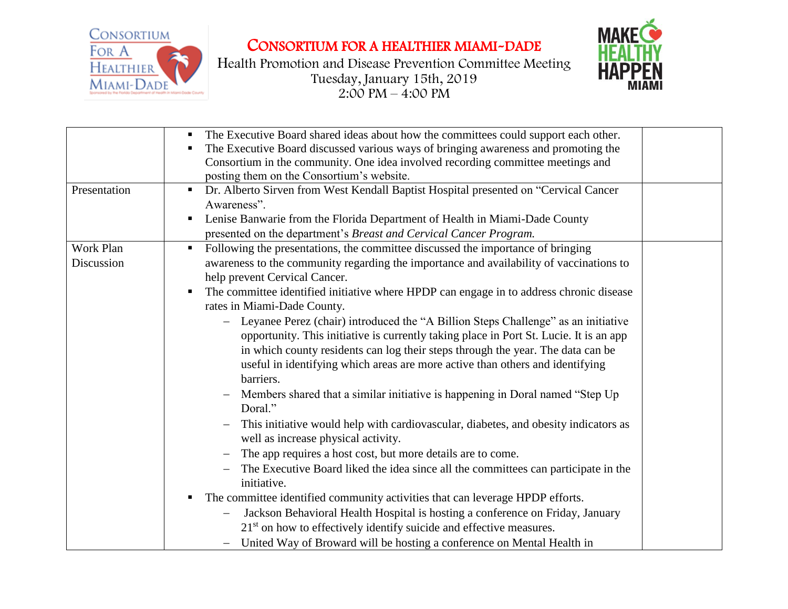

CONSORTIUM FOR A HEALTHIER MIAMI-DADE

Health Promotion and Disease Prevention Committee Meeting Tuesday, January 15th, 2019  $2:00 \text{ PM} - 4:00 \text{ PM}$ 



|              | The Executive Board shared ideas about how the committees could support each other.<br>п     |  |
|--------------|----------------------------------------------------------------------------------------------|--|
|              | The Executive Board discussed various ways of bringing awareness and promoting the<br>п      |  |
|              | Consortium in the community. One idea involved recording committee meetings and              |  |
|              | posting them on the Consortium's website.                                                    |  |
| Presentation | Dr. Alberto Sirven from West Kendall Baptist Hospital presented on "Cervical Cancer<br>٠     |  |
|              | Awareness".                                                                                  |  |
|              | Lenise Banwarie from the Florida Department of Health in Miami-Dade County<br>п              |  |
|              | presented on the department's Breast and Cervical Cancer Program.                            |  |
| Work Plan    | Following the presentations, the committee discussed the importance of bringing<br>п         |  |
| Discussion   | awareness to the community regarding the importance and availability of vaccinations to      |  |
|              | help prevent Cervical Cancer.                                                                |  |
|              | The committee identified initiative where HPDP can engage in to address chronic disease<br>п |  |
|              | rates in Miami-Dade County.                                                                  |  |
|              | - Leyanee Perez (chair) introduced the "A Billion Steps Challenge" as an initiative          |  |
|              | opportunity. This initiative is currently taking place in Port St. Lucie. It is an app       |  |
|              | in which county residents can log their steps through the year. The data can be              |  |
|              | useful in identifying which areas are more active than others and identifying                |  |
|              | barriers.                                                                                    |  |
|              | Members shared that a similar initiative is happening in Doral named "Step Up                |  |
|              | Doral."                                                                                      |  |
|              | This initiative would help with cardiovascular, diabetes, and obesity indicators as          |  |
|              | well as increase physical activity.                                                          |  |
|              | The app requires a host cost, but more details are to come.                                  |  |
|              | The Executive Board liked the idea since all the committees can participate in the           |  |
|              | initiative.                                                                                  |  |
|              | The committee identified community activities that can leverage HPDP efforts.<br>٠           |  |
|              | Jackson Behavioral Health Hospital is hosting a conference on Friday, January                |  |
|              | 21 <sup>st</sup> on how to effectively identify suicide and effective measures.              |  |
|              |                                                                                              |  |
|              | United Way of Broward will be hosting a conference on Mental Health in                       |  |